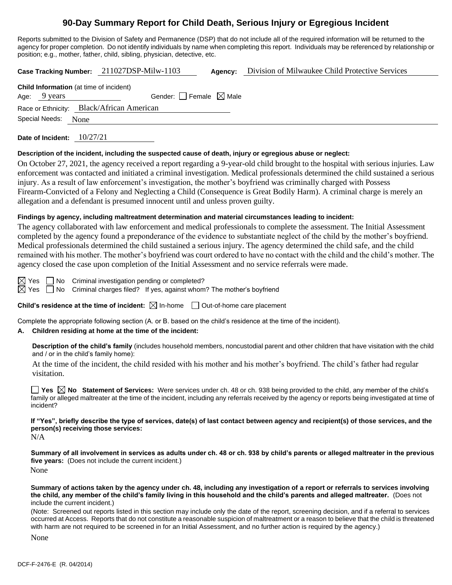# **90-Day Summary Report for Child Death, Serious Injury or Egregious Incident**

Reports submitted to the Division of Safety and Permanence (DSP) that do not include all of the required information will be returned to the agency for proper completion. Do not identify individuals by name when completing this report. Individuals may be referenced by relationship or position; e.g., mother, father, child, sibling, physician, detective, etc.

**Case Tracking Number:** 211027DSP-Milw-1103 **Agency:** Division of Milwaukee Child Protective Services

| <b>Child Information</b> (at time of incident) |                                 |  |  |  |
|------------------------------------------------|---------------------------------|--|--|--|
| Age: 9 years                                   | Gender: Female $\boxtimes$ Male |  |  |  |
| Race or Ethnicity: Black/African American      |                                 |  |  |  |
| Special Needs: None                            |                                 |  |  |  |

**Date of Incident:** 10/27/21

#### **Description of the incident, including the suspected cause of death, injury or egregious abuse or neglect:**

On October 27, 2021, the agency received a report regarding a 9-year-old child brought to the hospital with serious injuries. Law enforcement was contacted and initiated a criminal investigation. Medical professionals determined the child sustained a serious injury. As a result of law enforcement's investigation, the mother's boyfriend was criminally charged with Possess Firearm-Convicted of a Felony and Neglecting a Child (Consequence is Great Bodily Harm). A criminal charge is merely an allegation and a defendant is presumed innocent until and unless proven guilty.

#### **Findings by agency, including maltreatment determination and material circumstances leading to incident:**

The agency collaborated with law enforcement and medical professionals to complete the assessment. The Initial Assessment completed by the agency found a preponderance of the evidence to substantiate neglect of the child by the mother's boyfriend. Medical professionals determined the child sustained a serious injury. The agency determined the child safe, and the child remained with his mother. The mother's boyfriend was court ordered to have no contact with the child and the child's mother. The agency closed the case upon completion of the Initial Assessment and no service referrals were made.

 $\boxtimes$  Yes  $\Box$  No Criminal investigation pending or completed?

 $\boxtimes$  Yes  $\Box$  No Criminal charges filed? If yes, against whom? The mother's boyfriend

**Child's residence at the time of incident:**  $\boxtimes$  In-home  $\Box$  Out-of-home care placement

Complete the appropriate following section (A. or B. based on the child's residence at the time of the incident).

#### **A. Children residing at home at the time of the incident:**

**Description of the child's family** (includes household members, noncustodial parent and other children that have visitation with the child and / or in the child's family home):

At the time of the incident, the child resided with his mother and his mother's boyfriend. The child's father had regular visitation.

**Yes No Statement of Services:** Were services under ch. 48 or ch. 938 being provided to the child, any member of the child's family or alleged maltreater at the time of the incident, including any referrals received by the agency or reports being investigated at time of incident?

**If "Yes", briefly describe the type of services, date(s) of last contact between agency and recipient(s) of those services, and the person(s) receiving those services:**

 $N/A$ 

**Summary of all involvement in services as adults under ch. 48 or ch. 938 by child's parents or alleged maltreater in the previous five years:** (Does not include the current incident.)

None

**Summary of actions taken by the agency under ch. 48, including any investigation of a report or referrals to services involving the child, any member of the child's family living in this household and the child's parents and alleged maltreater.** (Does not include the current incident.)

(Note: Screened out reports listed in this section may include only the date of the report, screening decision, and if a referral to services occurred at Access. Reports that do not constitute a reasonable suspicion of maltreatment or a reason to believe that the child is threatened with harm are not required to be screened in for an Initial Assessment, and no further action is required by the agency.)

None